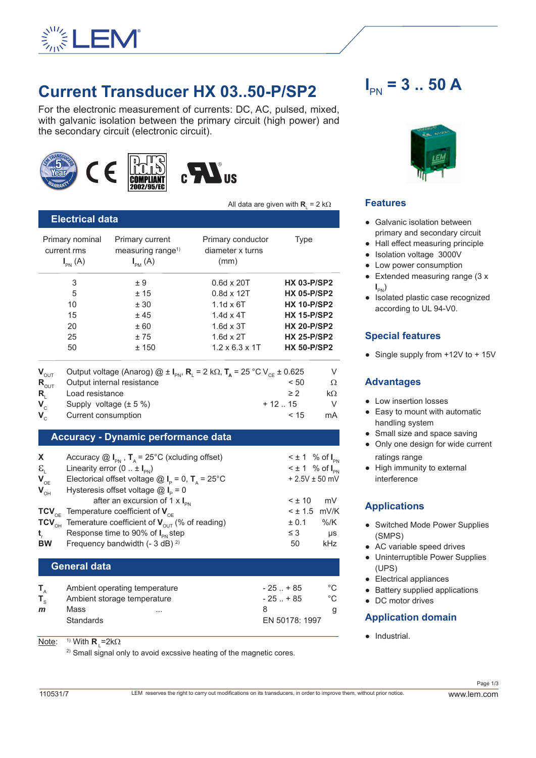

## **Current Transducer HX 03..50-P/SP2**

For the electronic measurement of currents: DC, AC, pulsed, mixed, with galvanic isolation between the primary circuit (high power) and the secondary circuit (electronic circuit).







All data are given with  $\mathbf{R}_{\text{L}} = 2 \text{ k}\Omega$ 

| <b>Electrical data</b>                                                 |                                               |                    |                                                                                                                                                 |
|------------------------------------------------------------------------|-----------------------------------------------|--------------------|-------------------------------------------------------------------------------------------------------------------------------------------------|
| Primary current<br>measuring range <sup>1)</sup><br>$I_{\text{PM}}(A)$ | Primary conductor<br>diameter x turns<br>(mm) | Type               |                                                                                                                                                 |
| ± 9                                                                    | $0.6d \times 20T$                             | <b>HX 03-P/SP2</b> |                                                                                                                                                 |
| ±15                                                                    | $0.8d \times 12T$                             | <b>HX 05-P/SP2</b> |                                                                                                                                                 |
| ± 30                                                                   | $1.1d \times 6T$                              | <b>HX 10-P/SP2</b> |                                                                                                                                                 |
| ±45                                                                    | $1.4d \times 4T$                              | <b>HX 15-P/SP2</b> |                                                                                                                                                 |
| ± 60                                                                   | $1.6d \times 3T$                              | <b>HX 20-P/SP2</b> |                                                                                                                                                 |
| ±75                                                                    | $1.6d \times 2T$                              | <b>HX 25-P/SP2</b> |                                                                                                                                                 |
| ±150                                                                   | $1.2 \times 6.3 \times 1$ T                   | <b>HX 50-P/SP2</b> |                                                                                                                                                 |
|                                                                        |                                               |                    | V                                                                                                                                               |
| Output internal resistance                                             |                                               | < 50               | Ω                                                                                                                                               |
| Load resistance                                                        |                                               | $\geq$ 2           | $k\Omega$                                                                                                                                       |
| Supply voltage $(\pm 5\%)$                                             |                                               |                    | V                                                                                                                                               |
| Current consumption                                                    |                                               | < 15               | mA                                                                                                                                              |
|                                                                        |                                               |                    | Output voltage (Anarog) $\textcircled{2} \pm I_{\text{av}}$ , R <sub>1</sub> = 2 kΩ, T <sub>a</sub> = 25 °C V <sub>CF</sub> ± 0.625<br>$+12.15$ |

#### **Accuracy - Dynamic performance data**

| X                          | Accuracy $\textcircled{a}$ I <sub>PN</sub> , T <sub>A</sub> = 25°C (xcluding offset)   |            | $\leq \pm 1$ % of $I_{\text{DM}}$ |
|----------------------------|----------------------------------------------------------------------------------------|------------|-----------------------------------|
| $\epsilon_{\text{L}}$      | Linearity error $(0 : H_{\text{av}})$                                                  |            | $\leq \pm 1$ % of $I_{\text{DM}}$ |
| $\mathbf{V}_{\mathrm{OE}}$ | Electorical offset voltage $\textcircled{a}$ I <sub>P</sub> = 0, T <sub>A</sub> = 25°C |            | $+ 2.5V \pm 50$ mV                |
| $V_{OH}$                   | Hysteresis offset voltage $@I_{\circ} = 0$                                             |            |                                   |
|                            | after an excursion of 1 $\times$ I <sub>PN</sub>                                       | $< \pm 10$ | mV                                |
|                            | TCV <sub>OF</sub> Temperature coefficient of $V_{\text{OE}}$                           |            | $<$ $\pm$ 1.5 mV/K                |
|                            | TCV <sub>OH</sub> Temerature coefficient of $V_{\text{OUT}}$ (% of reading)            | ± 0.1      | %/K                               |
| $t_{\rm r}$                | Response time to 90% of I <sub>PN</sub> step                                           | $\leq$ 3   | μs                                |
| <b>BW</b>                  | Frequency bandwidth $(-3 dB)^2$                                                        | 50         | kHz                               |
|                            |                                                                                        |            |                                   |
| <b>General data</b>        |                                                                                        |            |                                   |

|              | Ambient operating temperature | $-25$ $+85$    | °C. |
|--------------|-------------------------------|----------------|-----|
|              | Ambient storage temperature   | $-25$ $+85$    | °∩  |
| $\mathbf{m}$ | Mass<br>$\cdots$              |                |     |
|              | Standards                     | EN 50178: 1997 |     |

<u>Note</u>: <sup>1)</sup> With **R**<sub>L</sub>=2kΩ

 $2)$  Small signal only to avoid excssive heating of the magnetic cores.

# $I_{PN}$  = 3 .. 50 A



#### **Features**

- Galvanic isolation between primary and secondary circuit
- Hall effect measuring principle
- Isolation voltage 3000V
- Low power consumption
- Extended measuring range (3 x  $\mathbf{I}_{\text{PN}}$
- Isolated plastic case recognized according to UL 94-V0.

#### **Special features**

● Single supply from +12V to + 15V

#### **Advantages**

- Low insertion losses
- Easy to mount with automatic handling system
- Small size and space saving
- Only one design for wide current ratings range
- High immunity to external interference

## **Applications**

- Switched Mode Power Supplies (SMPS)
- AC variable speed drives
- Uninterruptible Power Supplies (UPS)
- Electrical appliances
- Battery supplied applications
- DC motor drives

#### **Application domain**

● Industrial.

Page 1/3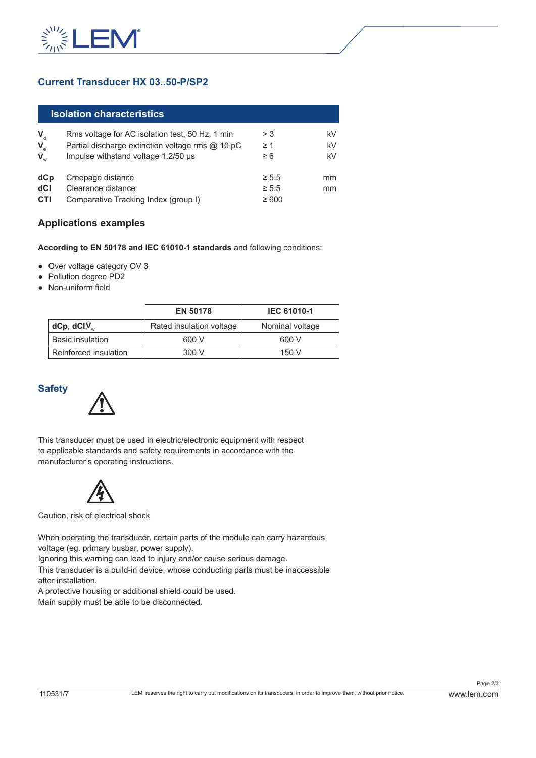

## **Current Transducer HX 03..50-P/SP2**

|                      | <b>Isolation characteristics</b>                 |            |    |
|----------------------|--------------------------------------------------|------------|----|
| $\mathbf{V}_{\rm d}$ | Rms voltage for AC isolation test, 50 Hz, 1 min  | > 3        | kV |
|                      | Partial discharge extinction voltage rms @ 10 pC | $\geq 1$   | kV |
| $V_e$<br>$V_w$       | Impulse withstand voltage 1.2/50 µs              | $\geq 6$   | kV |
| dCp                  | Creepage distance                                | $\geq 5.5$ | mm |
| dCl                  | Clearance distance                               | $\geq 5.5$ | mm |
| <b>CTI</b>           | Comparative Tracking Index (group I)             | $\geq 600$ |    |

#### **Applications examples**

**According to EN 50178 and IEC 61010-1 standards** and following conditions:

- Over voltage category OV 3
- Pollution degree PD2
- Non-uniform field

|                          | <b>EN 50178</b>          | <b>IEC 61010-1</b> |
|--------------------------|--------------------------|--------------------|
| $ dCp, dCl \hat{V}_{w} $ | Rated insulation voltage | Nominal voltage    |
| l Basic insulation       | 600 V                    | 600 V              |
| Reinforced insulation    | 300 V                    | 150V               |

#### **Safety**



This transducer must be used in electric/electronic equipment with respect to applicable standards and safety requirements in accordance with the manufacturer's operating instructions.



Caution, risk of electrical shock

When operating the transducer, certain parts of the module can carry hazardous voltage (eg. primary busbar, power supply).

Ignoring this warning can lead to injury and/or cause serious damage.

This transducer is a build-in device, whose conducting parts must be inaccessible after installation.

A protective housing or additional shield could be used.

Main supply must be able to be disconnected.

Page 2/3